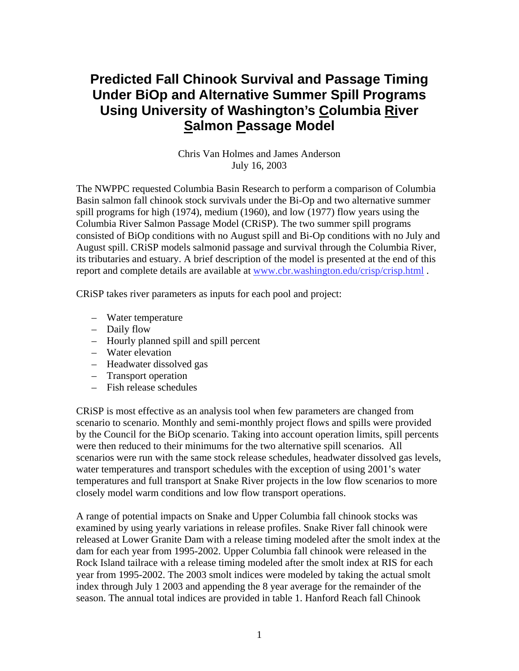## **Predicted Fall Chinook Survival and Passage Timing Under BiOp and Alternative Summer Spill Programs Using University of Washington's Columbia River Salmon Passage Model**

Chris Van Holmes and James Anderson July 16, 2003

The NWPPC requested Columbia Basin Research to perform a comparison of Columbia Basin salmon fall chinook stock survivals under the Bi-Op and two alternative summer spill programs for high (1974), medium (1960), and low (1977) flow years using the Columbia River Salmon Passage Model (CRiSP). The two summer spill programs consisted of BiOp conditions with no August spill and Bi-Op conditions with no July and August spill. CRiSP models salmonid passage and survival through the Columbia River, its tributaries and estuary. A brief description of the model is presented at the end of this report and complete details are available at [www.cbr.washington.edu/crisp/crisp.html](http://www.cbr.washington.edu/crisp/crisp.html) .

CRiSP takes river parameters as inputs for each pool and project:

- Water temperature
- Daily flow
- Hourly planned spill and spill percent
- Water elevation
- Headwater dissolved gas
- Transport operation
- Fish release schedules

CRiSP is most effective as an analysis tool when few parameters are changed from scenario to scenario. Monthly and semi-monthly project flows and spills were provided by the Council for the BiOp scenario. Taking into account operation limits, spill percents were then reduced to their minimums for the two alternative spill scenarios. All scenarios were run with the same stock release schedules, headwater dissolved gas levels, water temperatures and transport schedules with the exception of using 2001's water temperatures and full transport at Snake River projects in the low flow scenarios to more closely model warm conditions and low flow transport operations.

A range of potential impacts on Snake and Upper Columbia fall chinook stocks was examined by using yearly variations in release profiles. Snake River fall chinook were released at Lower Granite Dam with a release timing modeled after the smolt index at the dam for each year from 1995-2002. Upper Columbia fall chinook were released in the Rock Island tailrace with a release timing modeled after the smolt index at RIS for each year from 1995-2002. The 2003 smolt indices were modeled by taking the actual smolt index through July 1 2003 and appending the 8 year average for the remainder of the season. The annual total indices are provided in table 1. Hanford Reach fall Chinook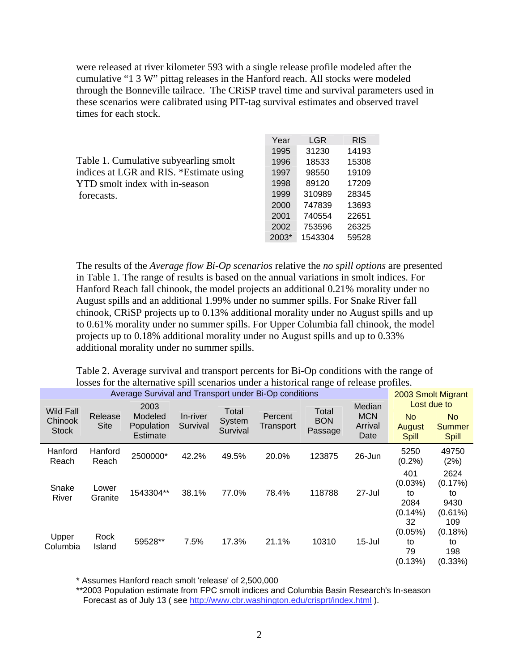were released at river kilometer 593 with a single release profile modeled after the cumulative "1 3 W" pittag releases in the Hanford reach. All stocks were modeled through the Bonneville tailrace. The CRiSP travel time and survival parameters used in these scenarios were calibrated using PIT-tag survival estimates and observed travel times for each stock.

|                                         | Year  | LGR     | <b>RIS</b> |
|-----------------------------------------|-------|---------|------------|
|                                         | 1995  | 31230   | 14193      |
| Table 1. Cumulative subyearling smolt   | 1996  | 18533   | 15308      |
| indices at LGR and RIS. *Estimate using | 1997  | 98550   | 19109      |
| YTD smolt index with in-season          | 1998  | 89120   | 17209      |
| forecasts.                              | 1999  | 310989  | 28345      |
|                                         | 2000  | 747839  | 13693      |
|                                         | 2001  | 740554  | 22651      |
|                                         | 2002  | 753596  | 26325      |
|                                         | 2003* | 1543304 | 59528      |

The results of the *Average flow Bi-Op scenarios* relative the *no spill options* are presented in Table 1. The range of results is based on the annual variations in smolt indices. For Hanford Reach fall chinook, the model projects an additional 0.21% morality under no August spills and an additional 1.99% under no summer spills. For Snake River fall chinook, CRiSP projects up to 0.13% additional morality under no August spills and up to 0.61% morality under no summer spills. For Upper Columbia fall chinook, the model projects up to 0.18% additional morality under no August spills and up to 0.33% additional morality under no summer spills.

Table 2. Average survival and transport percents for Bi-Op conditions with the range of losses for the alternative spill scenarios under a historical range of release profiles.

| Average Survival and Transport under Bi-Op conditions |                        |                                           |                      |                             |                      |                                |                                         |                                               | 2003 Smolt Migrant                                  |  |
|-------------------------------------------------------|------------------------|-------------------------------------------|----------------------|-----------------------------|----------------------|--------------------------------|-----------------------------------------|-----------------------------------------------|-----------------------------------------------------|--|
| <b>Wild Fall</b><br>Chinook<br><b>Stock</b>           | Release<br><b>Site</b> | 2003<br>Modeled<br>Population<br>Estimate | In-river<br>Survival | Total<br>System<br>Survival | Percent<br>Transport | Total<br><b>BON</b><br>Passage | Median<br><b>MCN</b><br>Arrival<br>Date | <b>No</b><br>August<br><b>Spill</b>           | Lost due to<br>No.<br><b>Summer</b><br><b>Spill</b> |  |
| Hanford<br>Reach                                      | Hanford<br>Reach       | 2500000*                                  | 42.2%                | 49.5%                       | 20.0%                | 123875                         | 26-Jun                                  | 5250<br>(0.2%)                                | 49750<br>(2%)                                       |  |
| Snake<br>River                                        | Lower<br>Granite       | 1543304**                                 | 38.1%                | 77.0%                       | 78.4%                | 118788                         | 27-Jul                                  | 401<br>$(0.03\%)$<br>to<br>2084<br>$(0.14\%)$ | 2624<br>(0.17%)<br>to<br>9430<br>$(0.61\%)$         |  |
| Upper<br>Columbia                                     | Rock<br>Island         | 59528**                                   | 7.5%                 | 17.3%                       | 21.1%                | 10310                          | $15 -$ Jul                              | 32<br>$(0.05\%)$<br>to<br>79<br>(0.13%)       | 109<br>(0.18%)<br>to<br>198<br>(0.33%)              |  |

\* Assumes Hanford reach smolt 'release' of 2,500,000

\*\*2003 Population estimate from FPC smolt indices and Columbia Basin Research's In-season Forecast as of July 13 ( see <http://www.cbr.washington.edu/crisprt/index.html>).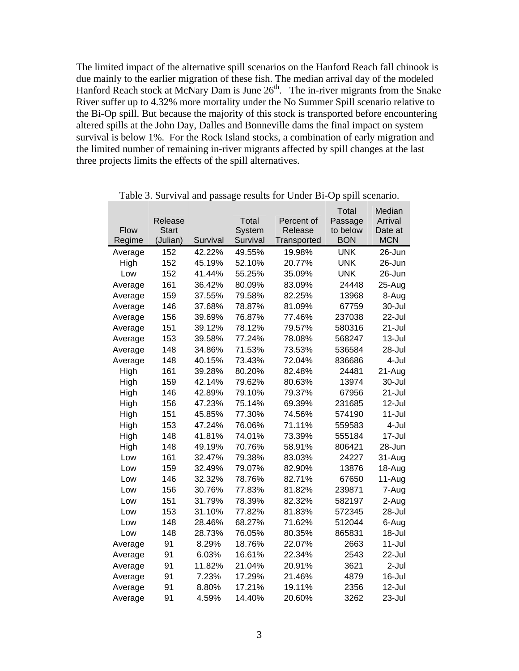The limited impact of the alternative spill scenarios on the Hanford Reach fall chinook is due mainly to the earlier migration of these fish. The median arrival day of the modeled Hanford Reach stock at McNary Dam is June  $26<sup>th</sup>$ . The in-river migrants from the Snake River suffer up to 4.32% more mortality under the No Summer Spill scenario relative to the Bi-Op spill. But because the majority of this stock is transported before encountering altered spills at the John Day, Dalles and Bonneville dams the final impact on system survival is below 1%. For the Rock Island stocks, a combination of early migration and the limited number of remaining in-river migrants affected by spill changes at the last three projects limits the effects of the spill alternatives.

|             |          |          |          |             | Total      | Median     |
|-------------|----------|----------|----------|-------------|------------|------------|
|             | Release  |          | Total    | Percent of  | Passage    | Arrival    |
| <b>Flow</b> | Start    |          | System   | Release     | to below   | Date at    |
| Regime      | (Julian) | Survival | Survival | Transported | <b>BON</b> | <b>MCN</b> |
| Average     | 152      | 42.22%   | 49.55%   | 19.98%      | <b>UNK</b> | 26-Jun     |
| High        | 152      | 45.19%   | 52.10%   | 20.77%      | <b>UNK</b> | 26-Jun     |
| Low         | 152      | 41.44%   | 55.25%   | 35.09%      | UNK        | 26-Jun     |
| Average     | 161      | 36.42%   | 80.09%   | 83.09%      | 24448      | 25-Aug     |
| Average     | 159      | 37.55%   | 79.58%   | 82.25%      | 13968      | 8-Aug      |
| Average     | 146      | 37.68%   | 78.87%   | 81.09%      | 67759      | 30-Jul     |
| Average     | 156      | 39.69%   | 76.87%   | 77.46%      | 237038     | 22-Jul     |
| Average     | 151      | 39.12%   | 78.12%   | 79.57%      | 580316     | 21-Jul     |
| Average     | 153      | 39.58%   | 77.24%   | 78.08%      | 568247     | $13 -$ Jul |
| Average     | 148      | 34.86%   | 71.53%   | 73.53%      | 536584     | 28-Jul     |
| Average     | 148      | 40.15%   | 73.43%   | 72.04%      | 836686     | 4-Jul      |
| High        | 161      | 39.28%   | 80.20%   | 82.48%      | 24481      | 21-Aug     |
| High        | 159      | 42.14%   | 79.62%   | 80.63%      | 13974      | 30-Jul     |
| High        | 146      | 42.89%   | 79.10%   | 79.37%      | 67956      | 21-Jul     |
| High        | 156      | 47.23%   | 75.14%   | 69.39%      | 231685     | 12-Jul     |
| High        | 151      | 45.85%   | 77.30%   | 74.56%      | 574190     | $11 -$ Jul |
| High        | 153      | 47.24%   | 76.06%   | 71.11%      | 559583     | 4-Jul      |
| High        | 148      | 41.81%   | 74.01%   | 73.39%      | 555184     | 17-Jul     |
| High        | 148      | 49.19%   | 70.76%   | 58.91%      | 806421     | 28-Jun     |
| Low         | 161      | 32.47%   | 79.38%   | 83.03%      | 24227      | 31-Aug     |
| Low         | 159      | 32.49%   | 79.07%   | 82.90%      | 13876      | 18-Aug     |
| Low         | 146      | 32.32%   | 78.76%   | 82.71%      | 67650      | 11-Aug     |
| Low         | 156      | 30.76%   | 77.83%   | 81.82%      | 239871     | 7-Aug      |
| Low         | 151      | 31.79%   | 78.39%   | 82.32%      | 582197     | 2-Aug      |
| Low         | 153      | 31.10%   | 77.82%   | 81.83%      | 572345     | 28-Jul     |
| Low         | 148      | 28.46%   | 68.27%   | 71.62%      | 512044     | 6-Aug      |
| Low         | 148      | 28.73%   | 76.05%   | 80.35%      | 865831     | $18 -$ Jul |
| Average     | 91       | 8.29%    | 18.76%   | 22.07%      | 2663       | $11 -$ Jul |
| Average     | 91       | 6.03%    | 16.61%   | 22.34%      | 2543       | 22-Jul     |
| Average     | 91       | 11.82%   | 21.04%   | 20.91%      | 3621       | 2-Jul      |
| Average     | 91       | 7.23%    | 17.29%   | 21.46%      | 4879       | 16-Jul     |
| Average     | 91       | 8.80%    | 17.21%   | 19.11%      | 2356       | 12-Jul     |
| Average     | 91       | 4.59%    | 14.40%   | 20.60%      | 3262       | 23-Jul     |

Table 3. Survival and passage results for Under Bi-Op spill scenario.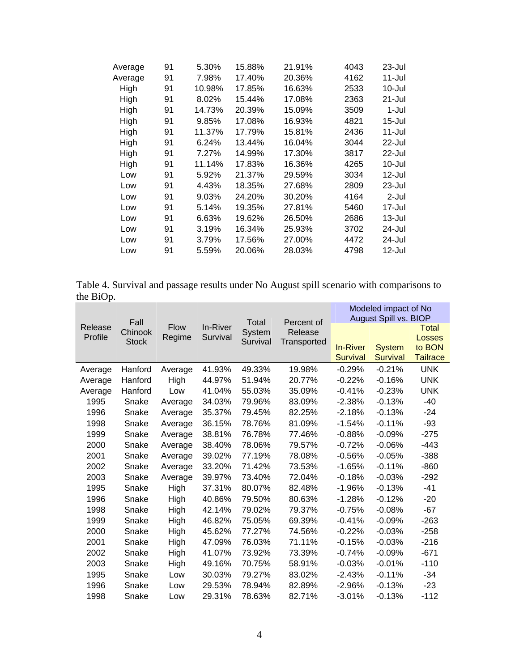| Average | 91 | 5.30%  | 15.88% | 21.91% | 4043 | 23-Jul     |
|---------|----|--------|--------|--------|------|------------|
| Average | 91 | 7.98%  | 17.40% | 20.36% | 4162 | 11-Jul     |
| High    | 91 | 10.98% | 17.85% | 16.63% | 2533 | 10-Jul     |
| High    | 91 | 8.02%  | 15.44% | 17.08% | 2363 | 21-Jul     |
| High    | 91 | 14.73% | 20.39% | 15.09% | 3509 | 1-Jul      |
| High    | 91 | 9.85%  | 17.08% | 16.93% | 4821 | $15 -$ Jul |
| High    | 91 | 11.37% | 17.79% | 15.81% | 2436 | 11-Jul     |
| High    | 91 | 6.24%  | 13.44% | 16.04% | 3044 | 22-Jul     |
| High    | 91 | 7.27%  | 14.99% | 17.30% | 3817 | 22-Jul     |
| High    | 91 | 11.14% | 17.83% | 16.36% | 4265 | 10-Jul     |
| Low     | 91 | 5.92%  | 21.37% | 29.59% | 3034 | 12-Jul     |
| Low     | 91 | 4.43%  | 18.35% | 27.68% | 2809 | 23-Jul     |
| Low     | 91 | 9.03%  | 24.20% | 30.20% | 4164 | 2-Jul      |
| Low     | 91 | 5.14%  | 19.35% | 27.81% | 5460 | 17-Jul     |
| Low     | 91 | 6.63%  | 19.62% | 26.50% | 2686 | 13-Jul     |
| Low     | 91 | 3.19%  | 16.34% | 25.93% | 3702 | 24-Jul     |
| Low     | 91 | 3.79%  | 17.56% | 27.00% | 4472 | 24-Jul     |
| Low     | 91 | 5.59%  | 20.06% | 28.03% | 4798 | 12-Jul     |
|         |    |        |        |        |      |            |

Table 4. Survival and passage results under No August spill scenario with comparisons to the BiOp.

|                    |                                 |                       |                      |                             |                                      |                                    | Modeled impact of No                                      |                                                     |
|--------------------|---------------------------------|-----------------------|----------------------|-----------------------------|--------------------------------------|------------------------------------|-----------------------------------------------------------|-----------------------------------------------------|
| Release<br>Profile | Fall<br>Chinook<br><b>Stock</b> | <b>Flow</b><br>Regime | In-River<br>Survival | Total<br>System<br>Survival | Percent of<br>Release<br>Transported | <b>In-River</b><br><b>Survival</b> | August Spill vs. BIOP<br><b>System</b><br><b>Survival</b> | <b>Total</b><br>Losses<br>to BON<br><b>Tailrace</b> |
| Average            | Hanford                         | Average               | 41.93%               | 49.33%                      | 19.98%                               | $-0.29%$                           | $-0.21%$                                                  | <b>UNK</b>                                          |
| Average            | Hanford                         | High                  | 44.97%               | 51.94%                      | 20.77%                               | $-0.22%$                           | $-0.16%$                                                  | <b>UNK</b>                                          |
| Average            | Hanford                         | Low                   | 41.04%               | 55.03%                      | 35.09%                               | $-0.41%$                           | $-0.23%$                                                  | <b>UNK</b>                                          |
| 1995               | Snake                           | Average               | 34.03%               | 79.96%                      | 83.09%                               | $-2.38%$                           | $-0.13%$                                                  | -40                                                 |
| 1996               | Snake                           | Average               | 35.37%               | 79.45%                      | 82.25%                               | $-2.18%$                           | $-0.13%$                                                  | -24                                                 |
| 1998               | Snake                           | Average               | 36.15%               | 78.76%                      | 81.09%                               | -1.54%                             | $-0.11%$                                                  | $-93$                                               |
| 1999               | Snake                           | Average               | 38.81%               | 76.78%                      | 77.46%                               | $-0.88%$                           | $-0.09%$                                                  | $-275$                                              |
| 2000               | Snake                           | Average               | 38.40%               | 78.06%                      | 79.57%                               | $-0.72%$                           | $-0.06%$                                                  | $-443$                                              |
| 2001               | Snake                           | Average               | 39.02%               | 77.19%                      | 78.08%                               | $-0.56%$                           | $-0.05%$                                                  | $-388$                                              |
| 2002               | Snake                           | Average               | 33.20%               | 71.42%                      | 73.53%                               | $-1.65%$                           | $-0.11%$                                                  | $-860$                                              |
| 2003               | Snake                           | Average               | 39.97%               | 73.40%                      | 72.04%                               | $-0.18%$                           | $-0.03%$                                                  | $-292$                                              |
| 1995               | Snake                           | High                  | 37.31%               | 80.07%                      | 82.48%                               | $-1.96%$                           | $-0.13%$                                                  | -41                                                 |
| 1996               | Snake                           | High                  | 40.86%               | 79.50%                      | 80.63%                               | $-1.28%$                           | $-0.12%$                                                  | $-20$                                               |
| 1998               | Snake                           | High                  | 42.14%               | 79.02%                      | 79.37%                               | $-0.75%$                           | $-0.08%$                                                  | $-67$                                               |
| 1999               | Snake                           | High                  | 46.82%               | 75.05%                      | 69.39%                               | $-0.41%$                           | $-0.09%$                                                  | $-263$                                              |
| 2000               | Snake                           | High                  | 45.62%               | 77.27%                      | 74.56%                               | $-0.22%$                           | $-0.03%$                                                  | $-258$                                              |
| 2001               | Snake                           | High                  | 47.09%               | 76.03%                      | 71.11%                               | $-0.15%$                           | $-0.03%$                                                  | $-216$                                              |
| 2002               | Snake                           | High                  | 41.07%               | 73.92%                      | 73.39%                               | $-0.74%$                           | $-0.09%$                                                  | $-671$                                              |
| 2003               | Snake                           | High                  | 49.16%               | 70.75%                      | 58.91%                               | $-0.03%$                           | $-0.01%$                                                  | $-110$                                              |
| 1995               | Snake                           | Low                   | 30.03%               | 79.27%                      | 83.02%                               | $-2.43%$                           | $-0.11%$                                                  | $-34$                                               |
| 1996               | Snake                           | Low                   | 29.53%               | 78.94%                      | 82.89%                               | -2.96%                             | $-0.13%$                                                  | -23                                                 |
| 1998               | Snake                           | Low                   | 29.31%               | 78.63%                      | 82.71%                               | $-3.01%$                           | $-0.13%$                                                  | -112                                                |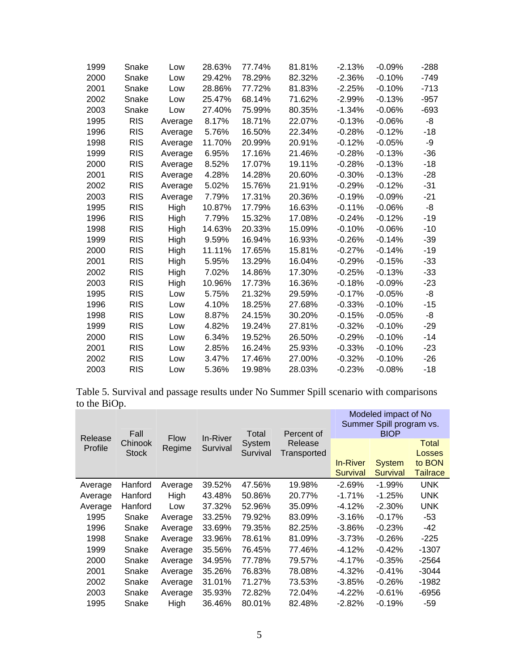| 1999 | Snake      | Low     | 28.63% | 77.74% | 81.81% | $-2.13%$  | $-0.09%$ | $-288$ |
|------|------------|---------|--------|--------|--------|-----------|----------|--------|
| 2000 | Snake      | Low     | 29.42% | 78.29% | 82.32% | $-2.36%$  | $-0.10%$ | $-749$ |
| 2001 | Snake      | Low     | 28.86% | 77.72% | 81.83% | $-2.25%$  | $-0.10%$ | $-713$ |
| 2002 | Snake      | Low     | 25.47% | 68.14% | 71.62% | $-2.99%$  | $-0.13%$ | $-957$ |
| 2003 | Snake      | Low     | 27.40% | 75.99% | 80.35% | $-1.34%$  | $-0.06%$ | $-693$ |
| 1995 | <b>RIS</b> | Average | 8.17%  | 18.71% | 22.07% | $-0.13%$  | $-0.06%$ | -8     |
| 1996 | <b>RIS</b> | Average | 5.76%  | 16.50% | 22.34% | $-0.28%$  | $-0.12%$ | $-18$  |
| 1998 | <b>RIS</b> | Average | 11.70% | 20.99% | 20.91% | $-0.12%$  | $-0.05%$ | -9     |
| 1999 | <b>RIS</b> | Average | 6.95%  | 17.16% | 21.46% | $-0.28%$  | $-0.13%$ | -36    |
| 2000 | <b>RIS</b> | Average | 8.52%  | 17.07% | 19.11% | $-0.28%$  | $-0.13%$ | $-18$  |
| 2001 | <b>RIS</b> | Average | 4.28%  | 14.28% | 20.60% | $-0.30\%$ | $-0.13%$ | -28    |
| 2002 | <b>RIS</b> | Average | 5.02%  | 15.76% | 21.91% | $-0.29%$  | $-0.12%$ | $-31$  |
| 2003 | <b>RIS</b> | Average | 7.79%  | 17.31% | 20.36% | -0.19%    | $-0.09%$ | $-21$  |
| 1995 | <b>RIS</b> | High    | 10.87% | 17.79% | 16.63% | $-0.11%$  | $-0.06%$ | -8     |
| 1996 | <b>RIS</b> | High    | 7.79%  | 15.32% | 17.08% | $-0.24%$  | $-0.12%$ | $-19$  |
| 1998 | <b>RIS</b> | High    | 14.63% | 20.33% | 15.09% | $-0.10%$  | $-0.06%$ | $-10$  |
| 1999 | <b>RIS</b> | High    | 9.59%  | 16.94% | 16.93% | $-0.26%$  | $-0.14%$ | $-39$  |
| 2000 | <b>RIS</b> | High    | 11.11% | 17.65% | 15.81% | $-0.27%$  | $-0.14%$ | $-19$  |
| 2001 | <b>RIS</b> | High    | 5.95%  | 13.29% | 16.04% | $-0.29%$  | $-0.15%$ | -33    |
| 2002 | <b>RIS</b> | High    | 7.02%  | 14.86% | 17.30% | $-0.25%$  | $-0.13%$ | $-33$  |
| 2003 | RIS        | High    | 10.96% | 17.73% | 16.36% | $-0.18%$  | $-0.09%$ | -23    |
| 1995 | <b>RIS</b> | Low     | 5.75%  | 21.32% | 29.59% | $-0.17%$  | $-0.05%$ | -8     |
| 1996 | <b>RIS</b> | Low     | 4.10%  | 18.25% | 27.68% | $-0.33%$  | $-0.10%$ | $-15$  |
| 1998 | <b>RIS</b> | Low     | 8.87%  | 24.15% | 30.20% | $-0.15%$  | $-0.05%$ | -8     |
| 1999 | <b>RIS</b> | Low     | 4.82%  | 19.24% | 27.81% | $-0.32%$  | $-0.10%$ | $-29$  |
| 2000 | <b>RIS</b> | Low     | 6.34%  | 19.52% | 26.50% | $-0.29%$  | $-0.10%$ | $-14$  |
| 2001 | <b>RIS</b> | Low     | 2.85%  | 16.24% | 25.93% | $-0.33%$  | $-0.10%$ | $-23$  |
| 2002 | <b>RIS</b> | Low     | 3.47%  | 17.46% | 27.00% | $-0.32%$  | $-0.10%$ | $-26$  |
| 2003 | <b>RIS</b> | Low     | 5.36%  | 19.98% | 28.03% | $-0.23%$  | $-0.08%$ | $-18$  |

Table 5. Survival and passage results under No Summer Spill scenario with comparisons to the BiOp. Modeled impact of No

| Release | Fall         | <b>Flow</b> | In-River | Total    | Percent of  | Modeled impact of No<br>Summer Spill program vs.<br><b>BIOP</b> |                 |                  |  |
|---------|--------------|-------------|----------|----------|-------------|-----------------------------------------------------------------|-----------------|------------------|--|
| Profile | Chinook      | Regime      | Survival | System   | Release     |                                                                 |                 | Total            |  |
|         | <b>Stock</b> |             |          | Survival | Transported | <b>In-River</b>                                                 | <b>System</b>   | Losses<br>to BON |  |
|         |              |             |          |          |             | <b>Survival</b>                                                 | <b>Survival</b> | <b>Tailrace</b>  |  |
| Average | Hanford      | Average     | 39.52%   | 47.56%   | 19.98%      | $-2.69%$                                                        | $-1.99\%$       | UNK              |  |
| Average | Hanford      | High        | 43.48%   | 50.86%   | 20.77%      | $-1.71%$                                                        | $-1.25%$        | UNK              |  |
| Average | Hanford      | Low         | 37.32%   | 52.96%   | 35.09%      | $-4.12%$                                                        | $-2.30%$        | UNK              |  |
| 1995    | Snake        | Average     | 33.25%   | 79.92%   | 83.09%      | $-3.16%$                                                        | $-0.17%$        | -53              |  |
| 1996    | Snake        | Average     | 33.69%   | 79.35%   | 82.25%      | $-3.86%$                                                        | $-0.23%$        | -42              |  |
| 1998    | Snake        | Average     | 33.96%   | 78.61%   | 81.09%      | $-3.73%$                                                        | $-0.26%$        | -225             |  |
| 1999    | Snake        | Average     | 35.56%   | 76.45%   | 77.46%      | $-4.12%$                                                        | $-0.42%$        | $-1307$          |  |
| 2000    | Snake        | Average     | 34.95%   | 77.78%   | 79.57%      | $-4.17%$                                                        | $-0.35%$        | $-2564$          |  |
| 2001    | Snake        | Average     | 35.26%   | 76.83%   | 78.08%      | -4.32%                                                          | $-0.41%$        | $-3044$          |  |
| 2002    | Snake        | Average     | 31.01%   | 71.27%   | 73.53%      | $-3.85%$                                                        | $-0.26%$        | $-1982$          |  |
| 2003    | Snake        | Average     | 35.93%   | 72.82%   | 72.04%      | $-4.22%$                                                        | $-0.61%$        | -6956            |  |
| 1995    | Snake        | High        | 36.46%   | 80.01%   | 82.48%      | $-2.82%$                                                        | $-0.19%$        | -59              |  |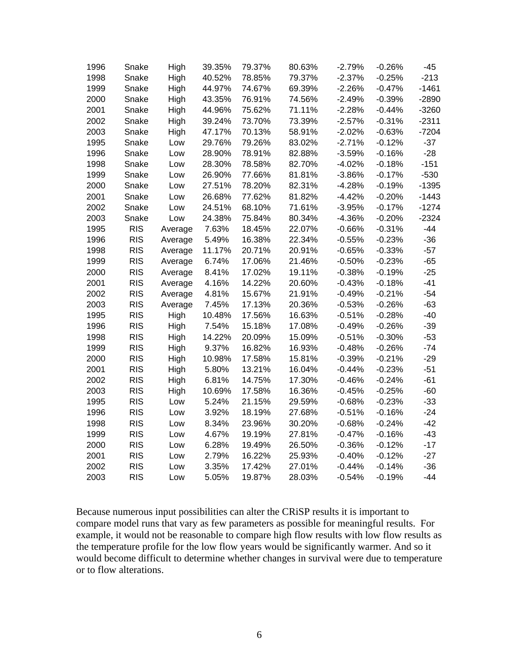| 1996 | Snake      | High    | 39.35% | 79.37% | 80.63% | $-2.79%$ | $-0.26%$ | $-45$   |
|------|------------|---------|--------|--------|--------|----------|----------|---------|
| 1998 | Snake      | High    | 40.52% | 78.85% | 79.37% | $-2.37%$ | $-0.25%$ | $-213$  |
| 1999 | Snake      | High    | 44.97% | 74.67% | 69.39% | $-2.26%$ | $-0.47%$ | $-1461$ |
| 2000 | Snake      | High    | 43.35% | 76.91% | 74.56% | $-2.49%$ | $-0.39%$ | $-2890$ |
| 2001 | Snake      | High    | 44.96% | 75.62% | 71.11% | $-2.28%$ | $-0.44%$ | $-3260$ |
| 2002 | Snake      | High    | 39.24% | 73.70% | 73.39% | $-2.57%$ | $-0.31%$ | $-2311$ |
| 2003 | Snake      | High    | 47.17% | 70.13% | 58.91% | $-2.02%$ | $-0.63%$ | $-7204$ |
| 1995 | Snake      | Low     | 29.76% | 79.26% | 83.02% | $-2.71%$ | $-0.12%$ | $-37$   |
| 1996 | Snake      | Low     | 28.90% | 78.91% | 82.88% | $-3.59%$ | $-0.16%$ | $-28$   |
| 1998 | Snake      | Low     | 28.30% | 78.58% | 82.70% | $-4.02%$ | $-0.18%$ | $-151$  |
| 1999 | Snake      | Low     | 26.90% | 77.66% | 81.81% | $-3.86%$ | $-0.17%$ | $-530$  |
| 2000 | Snake      | Low     | 27.51% | 78.20% | 82.31% | $-4.28%$ | $-0.19%$ | $-1395$ |
| 2001 | Snake      | Low     | 26.68% | 77.62% | 81.82% | $-4.42%$ | $-0.20%$ | $-1443$ |
| 2002 | Snake      | Low     | 24.51% | 68.10% | 71.61% | $-3.95%$ | $-0.17%$ | $-1274$ |
| 2003 | Snake      | Low     | 24.38% | 75.84% | 80.34% | $-4.36%$ | $-0.20%$ | $-2324$ |
| 1995 | <b>RIS</b> | Average | 7.63%  | 18.45% | 22.07% | $-0.66%$ | $-0.31%$ | $-44$   |
| 1996 | <b>RIS</b> | Average | 5.49%  | 16.38% | 22.34% | $-0.55%$ | $-0.23%$ | $-36$   |
| 1998 | <b>RIS</b> | Average | 11.17% | 20.71% | 20.91% | $-0.65%$ | $-0.33%$ | $-57$   |
| 1999 | <b>RIS</b> | Average | 6.74%  | 17.06% | 21.46% | $-0.50%$ | $-0.23%$ | $-65$   |
| 2000 | <b>RIS</b> | Average | 8.41%  | 17.02% | 19.11% | $-0.38%$ | $-0.19%$ | $-25$   |
| 2001 | <b>RIS</b> | Average | 4.16%  | 14.22% | 20.60% | $-0.43%$ | $-0.18%$ | $-41$   |
| 2002 | <b>RIS</b> | Average | 4.81%  | 15.67% | 21.91% | $-0.49%$ | $-0.21%$ | $-54$   |
| 2003 | <b>RIS</b> | Average | 7.45%  | 17.13% | 20.36% | $-0.53%$ | $-0.26%$ | $-63$   |
| 1995 | <b>RIS</b> | High    | 10.48% | 17.56% | 16.63% | $-0.51%$ | $-0.28%$ | $-40$   |
| 1996 | <b>RIS</b> | High    | 7.54%  | 15.18% | 17.08% | $-0.49%$ | $-0.26%$ | $-39$   |
| 1998 | <b>RIS</b> | High    | 14.22% | 20.09% | 15.09% | $-0.51%$ | $-0.30%$ | $-53$   |
| 1999 | <b>RIS</b> | High    | 9.37%  | 16.82% | 16.93% | $-0.48%$ | $-0.26%$ | $-74$   |
| 2000 | <b>RIS</b> | High    | 10.98% | 17.58% | 15.81% | $-0.39%$ | $-0.21%$ | $-29$   |
| 2001 | <b>RIS</b> | High    | 5.80%  | 13.21% | 16.04% | $-0.44%$ | $-0.23%$ | $-51$   |
| 2002 | <b>RIS</b> | High    | 6.81%  | 14.75% | 17.30% | $-0.46%$ | $-0.24%$ | $-61$   |
| 2003 | <b>RIS</b> | High    | 10.69% | 17.58% | 16.36% | $-0.45%$ | $-0.25%$ | $-60$   |
| 1995 | <b>RIS</b> | Low     | 5.24%  | 21.15% | 29.59% | $-0.68%$ | $-0.23%$ | $-33$   |
| 1996 | <b>RIS</b> | Low     | 3.92%  | 18.19% | 27.68% | $-0.51%$ | $-0.16%$ | $-24$   |
| 1998 | <b>RIS</b> | Low     | 8.34%  | 23.96% | 30.20% | $-0.68%$ | $-0.24%$ | $-42$   |
| 1999 | <b>RIS</b> | Low     | 4.67%  | 19.19% | 27.81% | $-0.47%$ | $-0.16%$ | $-43$   |
| 2000 | <b>RIS</b> | Low     | 6.28%  | 19.49% | 26.50% | $-0.36%$ | $-0.12%$ | $-17$   |
| 2001 | <b>RIS</b> | Low     | 2.79%  | 16.22% | 25.93% | $-0.40%$ | $-0.12%$ | $-27$   |
| 2002 | <b>RIS</b> | Low     | 3.35%  | 17.42% | 27.01% | $-0.44%$ | $-0.14%$ | $-36$   |
| 2003 | <b>RIS</b> | Low     | 5.05%  | 19.87% | 28.03% | $-0.54%$ | $-0.19%$ | $-44$   |

Because numerous input possibilities can alter the CRiSP results it is important to compare model runs that vary as few parameters as possible for meaningful results. For example, it would not be reasonable to compare high flow results with low flow results as the temperature profile for the low flow years would be significantly warmer. And so it would become difficult to determine whether changes in survival were due to temperature or to flow alterations.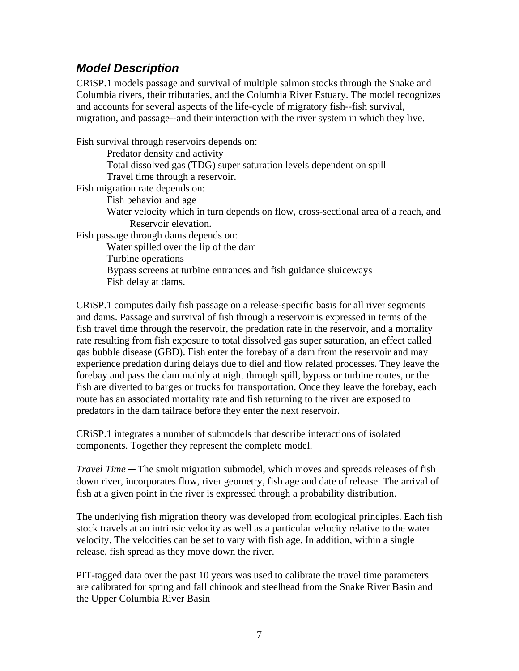## *Model Description*

CRiSP.1 models passage and survival of multiple salmon stocks through the Snake and Columbia rivers, their tributaries, and the Columbia River Estuary. The model recognizes and accounts for several aspects of the life-cycle of migratory fish--fish survival, migration, and passage--and their interaction with the river system in which they live.

Fish survival through reservoirs depends on:

Predator density and activity

Total dissolved gas (TDG) super saturation levels dependent on spill Travel time through a reservoir.

Fish migration rate depends on:

Fish behavior and age

Water velocity which in turn depends on flow, cross-sectional area of a reach, and Reservoir elevation.

Fish passage through dams depends on:

Water spilled over the lip of the dam

Turbine operations

Bypass screens at turbine entrances and fish guidance sluiceways Fish delay at dams.

CRiSP.1 computes daily fish passage on a release-specific basis for all river segments and dams. Passage and survival of fish through a reservoir is expressed in terms of the fish travel time through the reservoir, the predation rate in the reservoir, and a mortality rate resulting from fish exposure to total dissolved gas super saturation, an effect called gas bubble disease (GBD). Fish enter the forebay of a dam from the reservoir and may experience predation during delays due to diel and flow related processes. They leave the forebay and pass the dam mainly at night through spill, bypass or turbine routes, or the fish are diverted to barges or trucks for transportation. Once they leave the forebay, each route has an associated mortality rate and fish returning to the river are exposed to predators in the dam tailrace before they enter the next reservoir.

CRiSP.1 integrates a number of submodels that describe interactions of isolated components. Together they represent the complete model.

*Travel Time* ─ The smolt migration submodel, which moves and spreads releases of fish down river, incorporates flow, river geometry, fish age and date of release. The arrival of fish at a given point in the river is expressed through a probability distribution.

The underlying fish migration theory was developed from ecological principles. Each fish stock travels at an intrinsic velocity as well as a particular velocity relative to the water velocity. The velocities can be set to vary with fish age. In addition, within a single release, fish spread as they move down the river.

PIT-tagged data over the past 10 years was used to calibrate the travel time parameters are calibrated for spring and fall chinook and steelhead from the Snake River Basin and the Upper Columbia River Basin